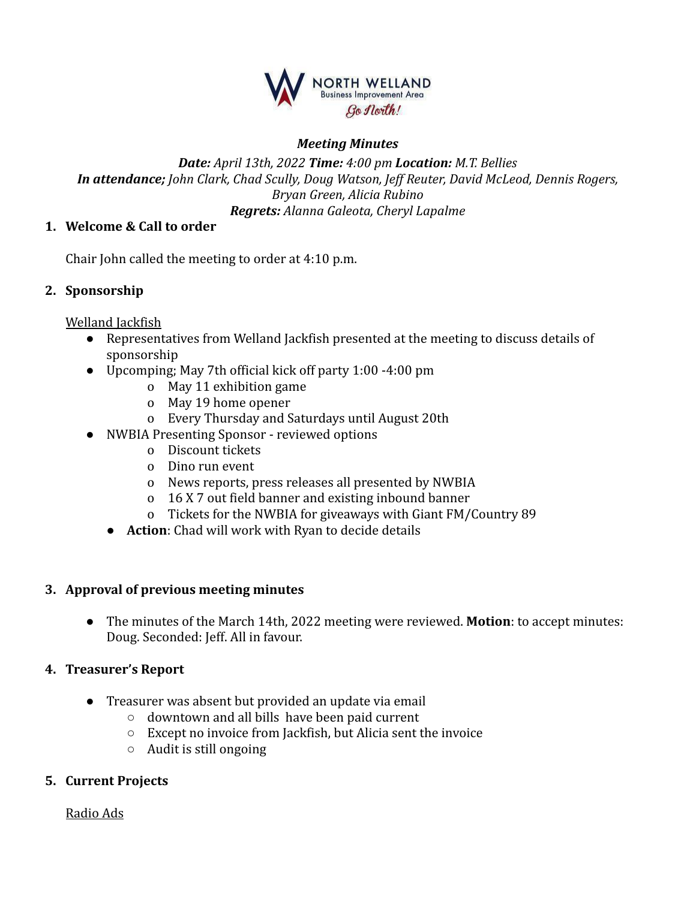

### *Meeting Minutes*

### *Date: April 13th, 2022 Time: 4:00 pm Location: M.T. Bellies In attendance; John Clark, Chad Scully, Doug Watson, Jeff Reuter, David McLeod, Dennis Rogers, Bryan Green, Alicia Rubino Regrets: Alanna Galeota, Cheryl Lapalme*

### **1. Welcome & Call to order**

Chair John called the meeting to order at 4:10 p.m.

### **2. Sponsorship**

Welland Jackfish

- Representatives from Welland Jackfish presented at the meeting to discuss details of sponsorship
- Upcomping; May 7th official kick off party 1:00 -4:00 pm
	- o May 11 exhibition game
	- o May 19 home opener
	- o Every Thursday and Saturdays until August 20th
- NWBIA Presenting Sponsor reviewed options
	- o Discount tickets
	- o Dino run event
	- o News reports, press releases all presented by NWBIA
	- o 16 X 7 out field banner and existing inbound banner
	- o Tickets for the NWBIA for giveaways with Giant FM/Country 89
	- **Action**: Chad will work with Ryan to decide details

### **3. Approval of previous meeting minutes**

● The minutes of the March 14th, 2022 meeting were reviewed. **Motion**: to accept minutes: Doug. Seconded: Jeff. All in favour.

### **4. Treasurer's Report**

- Treasurer was absent but provided an update via email
	- downtown and all bills have been paid current
	- Except no invoice from Jackfish, but Alicia sent the invoice
	- $\circ$  Audit is still ongoing

## **5. Current Projects**

Radio Ads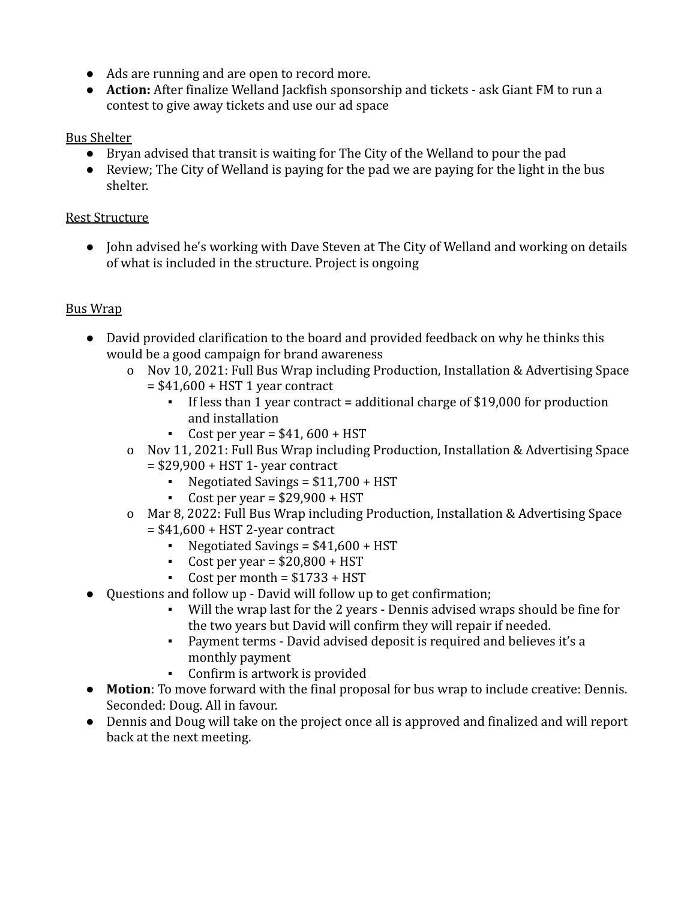- Ads are running and are open to record more.
- **Action:** After finalize Welland Jackfish sponsorship and tickets ask Giant FM to run a contest to give away tickets and use our ad space

# Bus Shelter

- Bryan advised that transit is waiting for The City of the Welland to pour the pad
- Review; The City of Welland is paying for the pad we are paying for the light in the bus shelter.

# Rest Structure

● John advised he's working with Dave Steven at The City of Welland and working on details of what is included in the structure. Project is ongoing

# Bus Wrap

- David provided clarification to the board and provided feedback on why he thinks this would be a good campaign for brand awareness
	- o Nov 10, 2021: Full Bus Wrap including Production, Installation & Advertising Space
		- $= $41,600 + HST 1$  year contract
			- If less than 1 year contract = additional charge of \$19,000 for production and installation
			- $\text{Cost per year} = $41,600 + \text{HST}$
	- o Nov 11, 2021: Full Bus Wrap including Production, Installation & Advertising Space = \$29,900 + HST 1- year contract
		- EXECUTIOUS Negotiated Savings =  $$11,700 + HST$
		- $\text{Cost per year} = $29,900 + \text{HST}$
	- o Mar 8, 2022: Full Bus Wrap including Production, Installation & Advertising Space  $= $41,600 + HST$  2-year contract
		- EXECUTIOUS Negotiated Savings =  $$41,600 + HST$
		- $\text{Cost per year} = $20,800 + \text{HST}$
		- $\text{-}$  Cost per month = \$1733 + HST
- Questions and follow up David will follow up to get confirmation;
	- Will the wrap last for the 2 years Dennis advised wraps should be fine for the two years but David will confirm they will repair if needed.
	- Payment terms David advised deposit is required and believes it's a monthly payment
	- Confirm is artwork is provided
- **Motion**: To move forward with the final proposal for bus wrap to include creative: Dennis. Seconded: Doug. All in favour.
- Dennis and Doug will take on the project once all is approved and finalized and will report back at the next meeting.